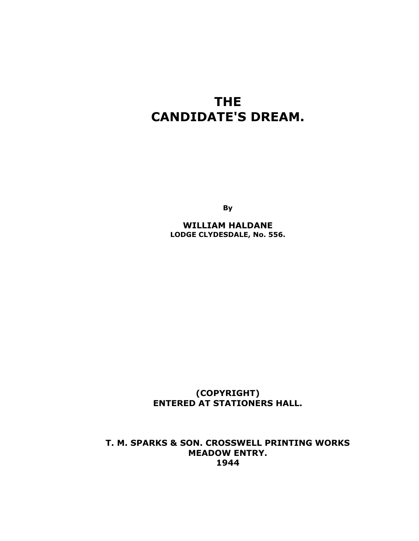## **THE CANDIDATE'S DREAM.**

**By** 

**WILLIAM HALDANE LODGE CLYDESDALE, No. 556.** 

**(COPYRIGHT) ENTERED AT STATIONERS HALL.** 

**T. M. SPARKS & SON. CROSSWELL PRINTING WORKS MEADOW ENTRY. 1944**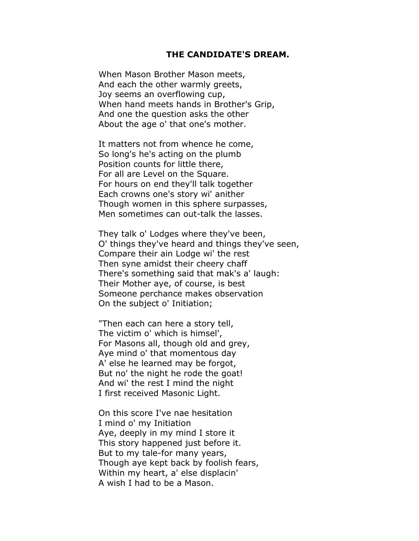## **THE CANDIDATE'S DREAM.**

When Mason Brother Mason meets, And each the other warmly greets, Joy seems an overflowing cup, When hand meets hands in Brother's Grip, And one the question asks the other About the age o' that one's mother.

It matters not from whence he come, So long's he's acting on the plumb Position counts for little there, For all are Level on the Square. For hours on end they'll talk together Each crowns one's story wi' anither Though women in this sphere surpasses, Men sometimes can out-talk the lasses.

They talk o' Lodges where they've been, O' things they've heard and things they've seen, Compare their ain Lodge wi' the rest Then syne amidst their cheery chaff There's something said that mak's a' laugh: Their Mother aye, of course, is best Someone perchance makes observation On the subject o' Initiation;

"Then each can here a story tell, The victim o' which is himsel', For Masons all, though old and grey, Aye mind o' that momentous day A' else he learned may be forgot, But no' the night he rode the goat! And wi' the rest I mind the night I first received Masonic Light.

On this score I've nae hesitation I mind o' my Initiation Aye, deeply in my mind I store it This story happened just before it. But to my tale-for many years, Though aye kept back by foolish fears, Within my heart, a' else displacin' A wish I had to be a Mason.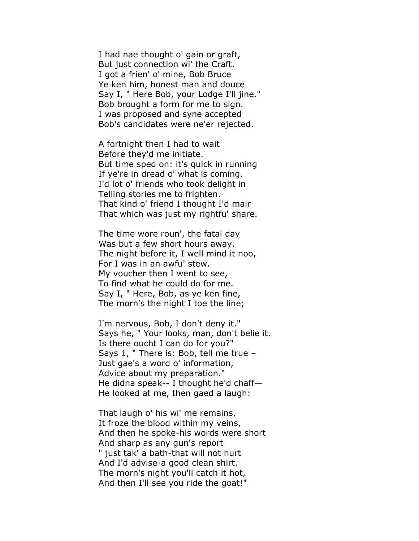I had nae thought o' gain or graft, But just connection wi' the Craft. I got a frien' o' mine, Bob Bruce Ye ken him, honest man and douce Say I, " Here Bob, your Lodge I'll jine." Bob brought a form for me to sign. I was proposed and syne accepted Bob's candidates were ne'er rejected.

A fortnight then I had to wait Before they'd me initiate. But time sped on: it's quick in running If ye're in dread o' what is coming. I'd lot o' friends who took delight in Telling stories me to frighten. That kind o' friend I thought I'd mair That which was just my rightfu' share.

The time wore roun', the fatal day Was but a few short hours away. The night before it, I well mind it noo, For I was in an awfu' stew. My voucher then I went to see, To find what he could do for me. Say I, " Here, Bob, as ye ken fine, The morn's the night I toe the line;

I'm nervous, Bob, I don't deny it." Says he, " Your looks, man, don't belie it. Is there oucht I can do for you?" Says 1, " There is: Bob, tell me true – Just gae's a word o' information, Advice about my preparation." He didna speak-- I thought he'd chaff— He looked at me, then gaed a laugh:

That laugh o' his wi' me remains, It froze the blood within my veins, And then he spoke-his words were short And sharp as any gun's report " just tak' a bath-that will not hurt And I'd advise-a good clean shirt. The morn's night you'll catch it hot, And then I'll see you ride the goat!"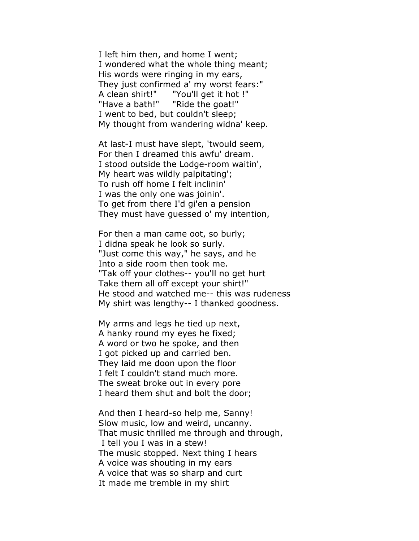I left him then, and home I went; I wondered what the whole thing meant; His words were ringing in my ears, They just confirmed a' my worst fears:" A clean shirt!" "You'll get it hot !" "Have a bath!" "Ride the goat!" I went to bed, but couldn't sleep; My thought from wandering widna' keep.

At last-I must have slept, 'twould seem, For then I dreamed this awfu' dream. I stood outside the Lodge-room waitin', My heart was wildly palpitating'; To rush off home I felt inclinin' I was the only one was joinin'. To get from there I'd gi'en a pension They must have guessed o' my intention,

For then a man came oot, so burly; I didna speak he look so surly. "Just come this way," he says, and he Into a side room then took me. "Tak off your clothes-- you'll no get hurt Take them all off except your shirt!" He stood and watched me-- this was rudeness My shirt was lengthy-- I thanked goodness.

My arms and legs he tied up next, A hanky round my eyes he fixed; A word or two he spoke, and then I got picked up and carried ben. They laid me doon upon the floor I felt I couldn't stand much more. The sweat broke out in every pore I heard them shut and bolt the door;

And then I heard-so help me, Sanny! Slow music, low and weird, uncanny. That music thrilled me through and through, I tell you I was in a stew! The music stopped. Next thing I hears A voice was shouting in my ears A voice that was so sharp and curt It made me tremble in my shirt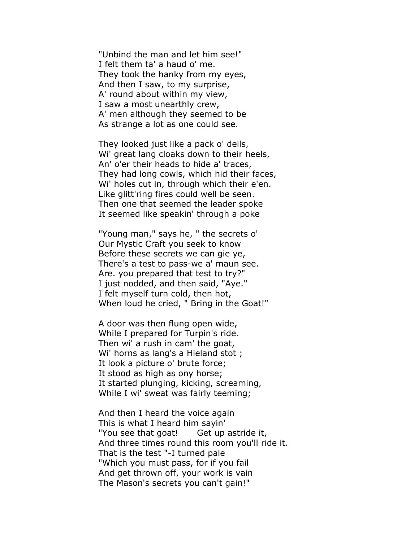"Unbind the man and let him see!" I felt them ta' a haud o' me. They took the hanky from my eyes, And then I saw, to my surprise, A' round about within my view, I saw a most unearthly crew, A' men although they seemed to be As strange a lot as one could see.

They looked just like a pack o' deils, Wi' great lang cloaks down to their heels, An' o'er their heads to hide a' traces, They had long cowls, which hid their faces, Wi' holes cut in, through which their e'en. Like glitt'ring fires could well be seen. Then one that seemed the leader spoke It seemed like speakin' through a poke

"Young man," says he, " the secrets o' Our Mystic Craft you seek to know Before these secrets we can gie ye, There's a test to pass-we a' maun see. Are. you prepared that test to try?" I just nodded, and then said, "Aye." I felt myself turn cold, then hot, When loud he cried, " Bring in the Goat!"

A door was then flung open wide, While I prepared for Turpin's ride. Then wi' a rush in cam' the goat, Wi' horns as lang's a Hieland stot ; It look a picture o' brute force; It stood as high as ony horse; It started plunging, kicking, screaming, While I wi' sweat was fairly teeming;

And then I heard the voice again This is what I heard him sayin' "You see that goat! Get up astride it, And three times round this room you'll ride it. That is the test "-I turned pale "Which you must pass, for if you fail And get thrown off, your work is vain The Mason's secrets you can't gain!"